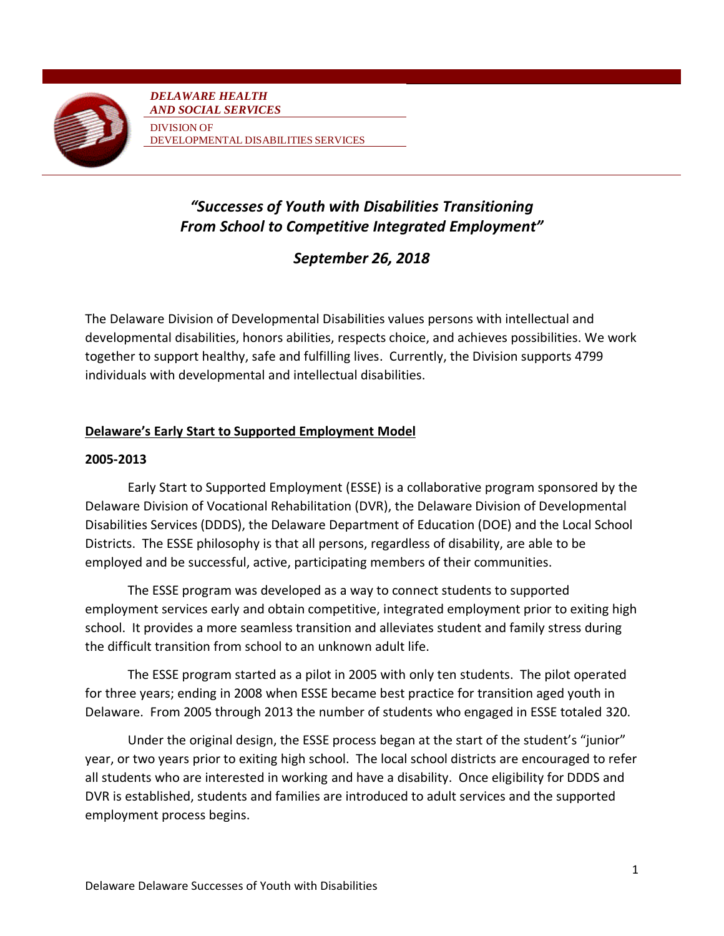

*DELAWARE HEALTH AND SOCIAL SERVICES* DIVISION OF DEVELOPMENTAL DISABILITIES SERVICES

# *"Successes of Youth with Disabilities Transitioning From School to Competitive Integrated Employment"*

*September 26, 2018*

The Delaware Division of Developmental Disabilities values persons with intellectual and developmental disabilities, honors abilities, respects choice, and achieves possibilities. We work together to support healthy, safe and fulfilling lives. Currently, the Division supports 4799 individuals with developmental and intellectual disabilities.

# **Delaware's Early Start to Supported Employment Model**

## **2005-2013**

Early Start to Supported Employment (ESSE) is a collaborative program sponsored by the Delaware Division of Vocational Rehabilitation (DVR), the Delaware Division of Developmental Disabilities Services (DDDS), the Delaware Department of Education (DOE) and the Local School Districts. The ESSE philosophy is that all persons, regardless of disability, are able to be employed and be successful, active, participating members of their communities.

The ESSE program was developed as a way to connect students to supported employment services early and obtain competitive, integrated employment prior to exiting high school. It provides a more seamless transition and alleviates student and family stress during the difficult transition from school to an unknown adult life.

The ESSE program started as a pilot in 2005 with only ten students. The pilot operated for three years; ending in 2008 when ESSE became best practice for transition aged youth in Delaware. From 2005 through 2013 the number of students who engaged in ESSE totaled 320.

Under the original design, the ESSE process began at the start of the student's "junior" year, or two years prior to exiting high school. The local school districts are encouraged to refer all students who are interested in working and have a disability. Once eligibility for DDDS and DVR is established, students and families are introduced to adult services and the supported employment process begins.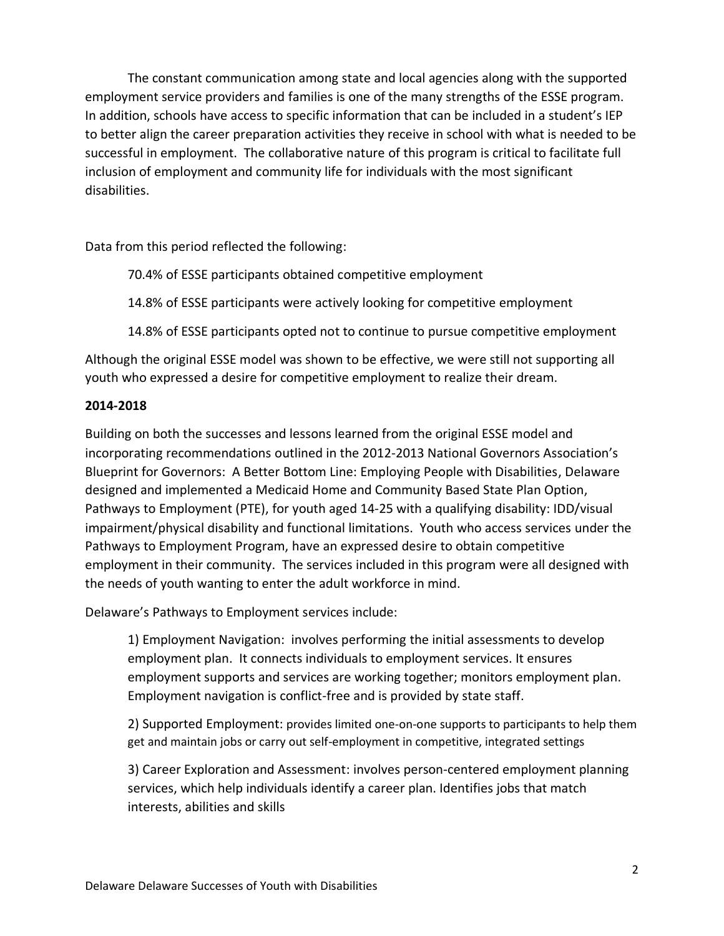The constant communication among state and local agencies along with the supported employment service providers and families is one of the many strengths of the ESSE program. In addition, schools have access to specific information that can be included in a student's IEP to better align the career preparation activities they receive in school with what is needed to be successful in employment. The collaborative nature of this program is critical to facilitate full inclusion of employment and community life for individuals with the most significant disabilities.

Data from this period reflected the following:

70.4% of ESSE participants obtained competitive employment

14.8% of ESSE participants were actively looking for competitive employment

14.8% of ESSE participants opted not to continue to pursue competitive employment

Although the original ESSE model was shown to be effective, we were still not supporting all youth who expressed a desire for competitive employment to realize their dream.

## **2014-2018**

Building on both the successes and lessons learned from the original ESSE model and incorporating recommendations outlined in the 2012-2013 National Governors Association's Blueprint for Governors: A Better Bottom Line: Employing People with Disabilities, Delaware designed and implemented a Medicaid Home and Community Based State Plan Option, Pathways to Employment (PTE), for youth aged 14-25 with a qualifying disability: IDD/visual impairment/physical disability and functional limitations. Youth who access services under the Pathways to Employment Program, have an expressed desire to obtain competitive employment in their community. The services included in this program were all designed with the needs of youth wanting to enter the adult workforce in mind.

Delaware's Pathways to Employment services include:

1) Employment Navigation: involves performing the initial assessments to develop employment plan. It connects individuals to employment services. It ensures employment supports and services are working together; monitors employment plan. Employment navigation is conflict-free and is provided by state staff.

2) Supported Employment: provides limited one-on-one supports to participants to help them get and maintain jobs or carry out self-employment in competitive, integrated settings

3) Career Exploration and Assessment: involves person-centered employment planning services, which help individuals identify a career plan. Identifies jobs that match interests, abilities and skills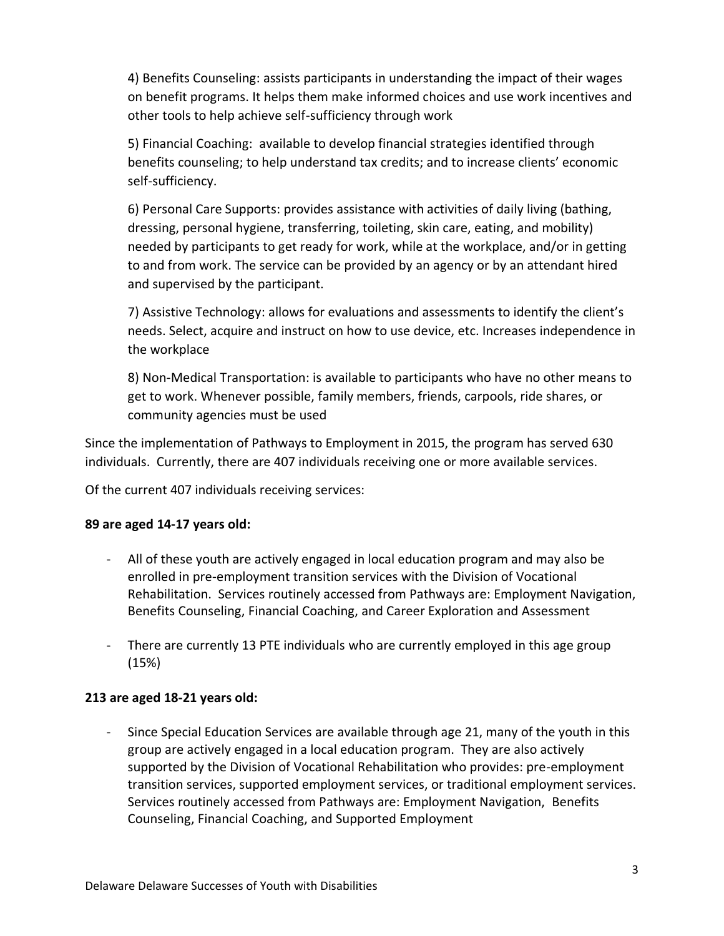4) Benefits Counseling: assists participants in understanding the impact of their wages on benefit programs. It helps them make informed choices and use work incentives and other tools to help achieve self-sufficiency through work

5) Financial Coaching: available to develop financial strategies identified through benefits counseling; to help understand tax credits; and to increase clients' economic self-sufficiency.

6) Personal Care Supports: provides assistance with activities of daily living (bathing, dressing, personal hygiene, transferring, toileting, skin care, eating, and mobility) needed by participants to get ready for work, while at the workplace, and/or in getting to and from work. The service can be provided by an agency or by an attendant hired and supervised by the participant.

7) Assistive Technology: allows for evaluations and assessments to identify the client's needs. Select, acquire and instruct on how to use device, etc. Increases independence in the workplace

8) Non-Medical Transportation: is available to participants who have no other means to get to work. Whenever possible, family members, friends, carpools, ride shares, or community agencies must be used

Since the implementation of Pathways to Employment in 2015, the program has served 630 individuals. Currently, there are 407 individuals receiving one or more available services.

Of the current 407 individuals receiving services:

## **89 are aged 14-17 years old:**

- All of these youth are actively engaged in local education program and may also be enrolled in pre-employment transition services with the Division of Vocational Rehabilitation. Services routinely accessed from Pathways are: Employment Navigation, Benefits Counseling, Financial Coaching, and Career Exploration and Assessment
- There are currently 13 PTE individuals who are currently employed in this age group (15%)

## **213 are aged 18-21 years old:**

- Since Special Education Services are available through age 21, many of the youth in this group are actively engaged in a local education program. They are also actively supported by the Division of Vocational Rehabilitation who provides: pre-employment transition services, supported employment services, or traditional employment services. Services routinely accessed from Pathways are: Employment Navigation, Benefits Counseling, Financial Coaching, and Supported Employment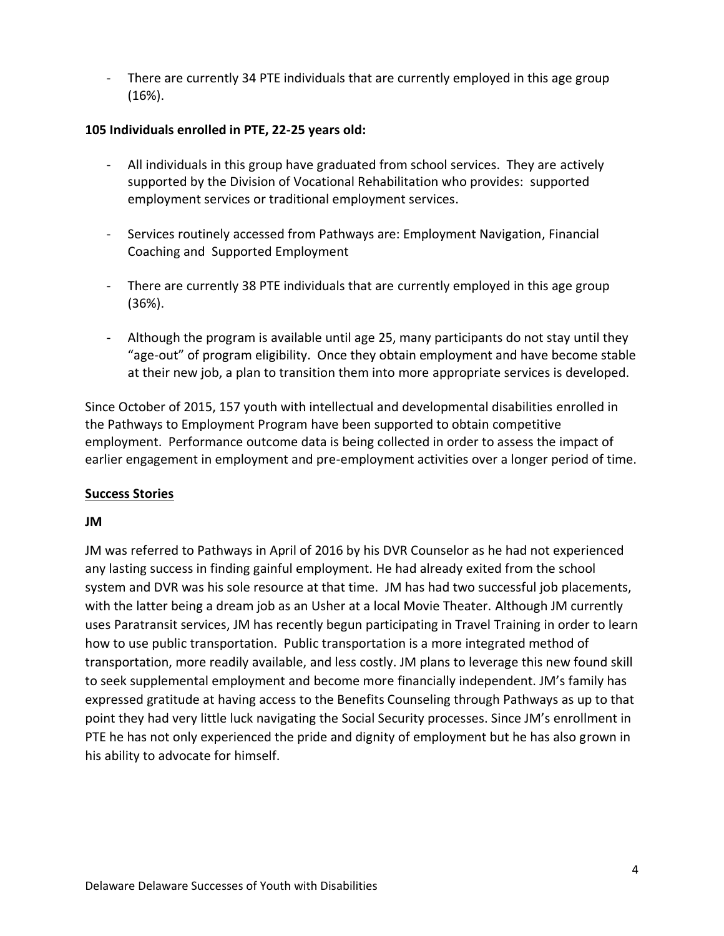- There are currently 34 PTE individuals that are currently employed in this age group (16%).

## **105 Individuals enrolled in PTE, 22-25 years old:**

- All individuals in this group have graduated from school services. They are actively supported by the Division of Vocational Rehabilitation who provides: supported employment services or traditional employment services.
- Services routinely accessed from Pathways are: Employment Navigation, Financial Coaching and Supported Employment
- There are currently 38 PTE individuals that are currently employed in this age group (36%).
- Although the program is available until age 25, many participants do not stay until they "age-out" of program eligibility. Once they obtain employment and have become stable at their new job, a plan to transition them into more appropriate services is developed.

Since October of 2015, 157 youth with intellectual and developmental disabilities enrolled in the Pathways to Employment Program have been supported to obtain competitive employment. Performance outcome data is being collected in order to assess the impact of earlier engagement in employment and pre-employment activities over a longer period of time.

## **Success Stories**

## **JM**

JM was referred to Pathways in April of 2016 by his DVR Counselor as he had not experienced any lasting success in finding gainful employment. He had already exited from the school system and DVR was his sole resource at that time. JM has had two successful job placements, with the latter being a dream job as an Usher at a local Movie Theater. Although JM currently uses Paratransit services, JM has recently begun participating in Travel Training in order to learn how to use public transportation. Public transportation is a more integrated method of transportation, more readily available, and less costly. JM plans to leverage this new found skill to seek supplemental employment and become more financially independent. JM's family has expressed gratitude at having access to the Benefits Counseling through Pathways as up to that point they had very little luck navigating the Social Security processes. Since JM's enrollment in PTE he has not only experienced the pride and dignity of employment but he has also grown in his ability to advocate for himself.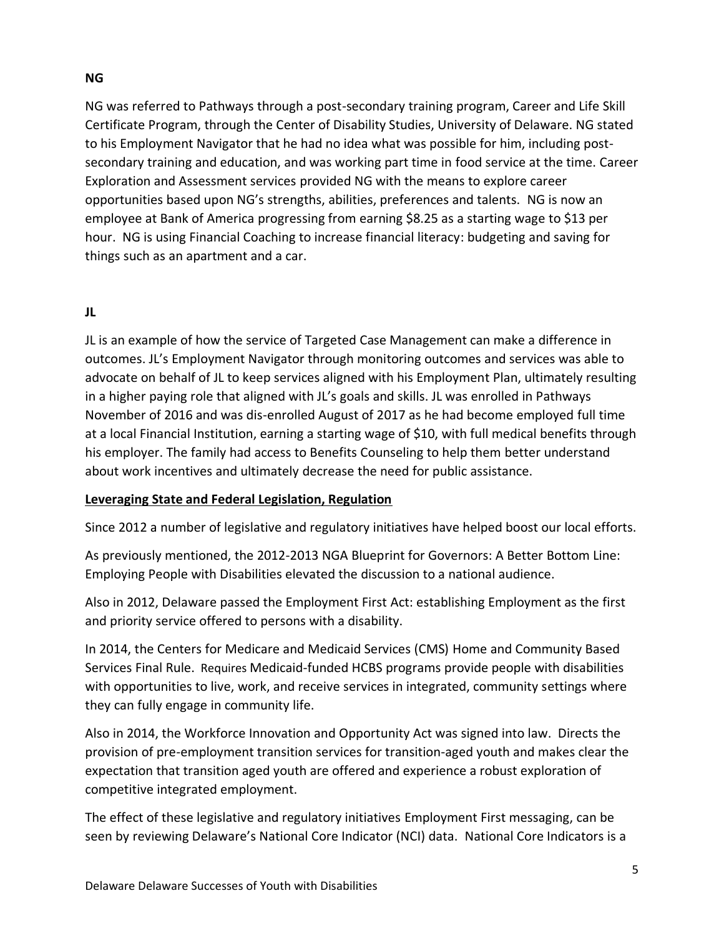## **NG**

NG was referred to Pathways through a post-secondary training program, Career and Life Skill Certificate Program, through the Center of Disability Studies, University of Delaware. NG stated to his Employment Navigator that he had no idea what was possible for him, including postsecondary training and education, and was working part time in food service at the time. Career Exploration and Assessment services provided NG with the means to explore career opportunities based upon NG's strengths, abilities, preferences and talents. NG is now an employee at Bank of America progressing from earning \$8.25 as a starting wage to \$13 per hour. NG is using Financial Coaching to increase financial literacy: budgeting and saving for things such as an apartment and a car.

# **JL**

JL is an example of how the service of Targeted Case Management can make a difference in outcomes. JL's Employment Navigator through monitoring outcomes and services was able to advocate on behalf of JL to keep services aligned with his Employment Plan, ultimately resulting in a higher paying role that aligned with JL's goals and skills. JL was enrolled in Pathways November of 2016 and was dis-enrolled August of 2017 as he had become employed full time at a local Financial Institution, earning a starting wage of \$10, with full medical benefits through his employer. The family had access to Benefits Counseling to help them better understand about work incentives and ultimately decrease the need for public assistance.

## **Leveraging State and Federal Legislation, Regulation**

Since 2012 a number of legislative and regulatory initiatives have helped boost our local efforts.

As previously mentioned, the 2012-2013 NGA Blueprint for Governors: A Better Bottom Line: Employing People with Disabilities elevated the discussion to a national audience.

Also in 2012, Delaware passed the Employment First Act: establishing Employment as the first and priority service offered to persons with a disability.

In 2014, the Centers for Medicare and Medicaid Services (CMS) Home and Community Based Services Final Rule. Requires Medicaid-funded HCBS programs provide people with disabilities with opportunities to live, work, and receive services in integrated, community settings where they can fully engage in community life.

Also in 2014, the Workforce Innovation and Opportunity Act was signed into law. Directs the provision of pre-employment transition services for transition-aged youth and makes clear the expectation that transition aged youth are offered and experience a robust exploration of competitive integrated employment.

The effect of these legislative and regulatory initiatives Employment First messaging, can be seen by reviewing Delaware's National Core Indicator (NCI) data. National Core Indicators is a